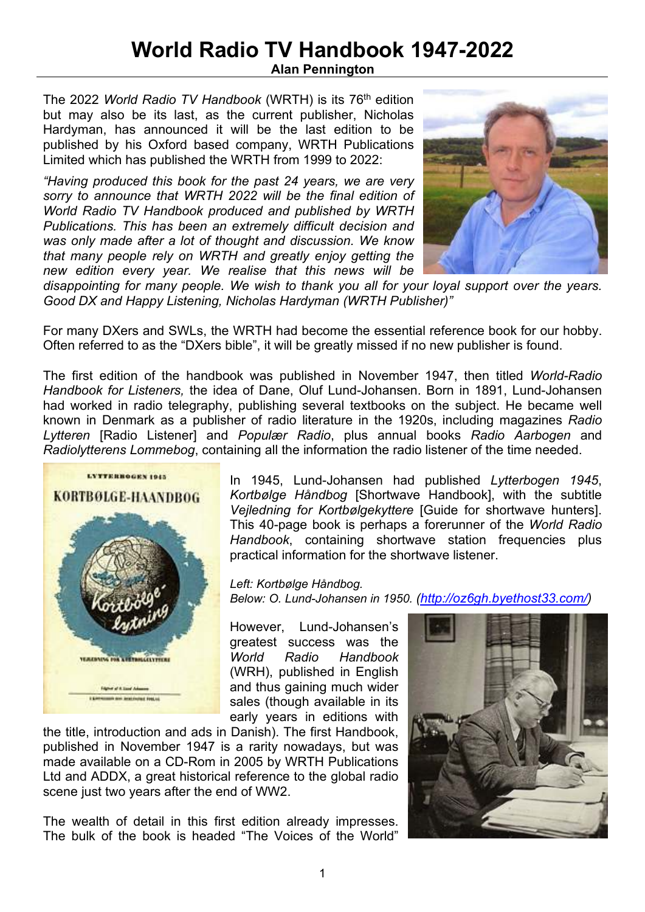## **World Radio TV Handbook 1947-2022**

**Alan Pennington**

The 2022 *World Radio TV Handbook* (WRTH) is its 76th edition but may also be its last, as the current publisher, Nicholas Hardyman, has announced it will be the last edition to be published by his Oxford based company, WRTH Publications Limited which has published the WRTH from 1999 to 2022:

*"Having produced this book for the past 24 years, we are very sorry to announce that WRTH 2022 will be the final edition of World Radio TV Handbook produced and published by WRTH Publications. This has been an extremely difficult decision and was only made after a lot of thought and discussion. We know that many people rely on WRTH and greatly enjoy getting the new edition every year. We realise that this news will be* 



*disappointing for many people. We wish to thank you all for your loyal support over the years. Good DX and Happy Listening, Nicholas Hardyman (WRTH Publisher)"* 

For many DXers and SWLs, the WRTH had become the essential reference book for our hobby. Often referred to as the "DXers bible", it will be greatly missed if no new publisher is found.

The first edition of the handbook was published in November 1947, then titled *World-Radio Handbook for Listeners,* the idea of Dane, Oluf Lund-Johansen. Born in 1891, Lund-Johansen had worked in radio telegraphy, publishing several textbooks on the subject. He became well known in Denmark as a publisher of radio literature in the 1920s, including magazines *Radio Lytteren* [Radio Listener] and *Populær Radio*, plus annual books *Radio Aarbogen* and *Radiolytterens Lommebog*, containing all the information the radio listener of the time needed.



In 1945, Lund-Johansen had published *Lytterbogen 1945*, *Kortbølge Håndbog* [Shortwave Handbook], with the subtitle *Vejledning for Kortbølgekyttere* [Guide for shortwave hunters]. This 40-page book is perhaps a forerunner of the *World Radio Handbook*, containing shortwave station frequencies plus practical information for the shortwave listener.

*Left: Kortbølge Håndbog. Below: O. Lund-Johansen in 1950. (http://oz6gh.byethost33.com/)* 

However, Lund-Johansen's greatest success was the *World Radio Handbook* (WRH), published in English and thus gaining much wider sales (though available in its early years in editions with

the title, introduction and ads in Danish). The first Handbook, published in November 1947 is a rarity nowadays, but was made available on a CD-Rom in 2005 by WRTH Publications Ltd and ADDX, a great historical reference to the global radio scene just two years after the end of WW2.

The wealth of detail in this first edition already impresses. The bulk of the book is headed "The Voices of the World"

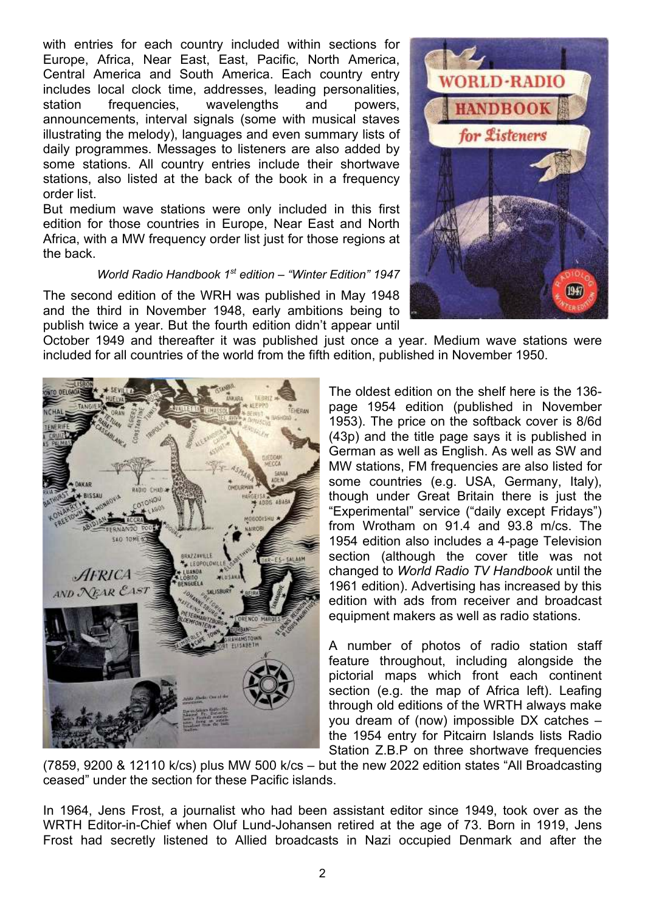with entries for each country included within sections for Europe, Africa, Near East, East, Pacific, North America, Central America and South America. Each country entry includes local clock time, addresses, leading personalities, station frequencies, wavelengths and powers, announcements, interval signals (some with musical staves illustrating the melody), languages and even summary lists of daily programmes. Messages to listeners are also added by some stations. All country entries include their shortwave stations, also listed at the back of the book in a frequency order list.

But medium wave stations were only included in this first edition for those countries in Europe, Near East and North Africa, with a MW frequency order list just for those regions at the back.

## *World Radio Handbook 1st edition – "Winter Edition" 1947*

The second edition of the WRH was published in May 1948 and the third in November 1948, early ambitions being to publish twice a year. But the fourth edition didn't appear until

October 1949 and thereafter it was published just once a year. Medium wave stations were included for all countries of the world from the fifth edition, published in November 1950.

> The oldest edition on the shelf here is the 136 page 1954 edition (published in November 1953). The price on the softback cover is 8/6d (43p) and the title page says it is published in German as well as English. As well as SW and MW stations, FM frequencies are also listed for some countries (e.g. USA, Germany, Italy), though under Great Britain there is just the "Experimental" service ("daily except Fridays") from Wrotham on 91.4 and 93.8 m/cs. The 1954 edition also includes a 4-page Television section (although the cover title was not changed to *World Radio TV Handbook* until the 1961 edition). Advertising has increased by this edition with ads from receiver and broadcast equipment makers as well as radio stations.

> A number of photos of radio station staff feature throughout, including alongside the pictorial maps which front each continent section (e.g. the map of Africa left). Leafing through old editions of the WRTH always make you dream of (now) impossible DX catches – the 1954 entry for Pitcairn Islands lists Radio Station Z.B.P on three shortwave frequencies

(7859, 9200 & 12110 k/cs) plus MW 500 k/cs – but the new 2022 edition states "All Broadcasting ceased" under the section for these Pacific islands.

In 1964, Jens Frost, a journalist who had been assistant editor since 1949, took over as the WRTH Editor-in-Chief when Oluf Lund-Johansen retired at the age of 73. Born in 1919, Jens Frost had secretly listened to Allied broadcasts in Nazi occupied Denmark and after the



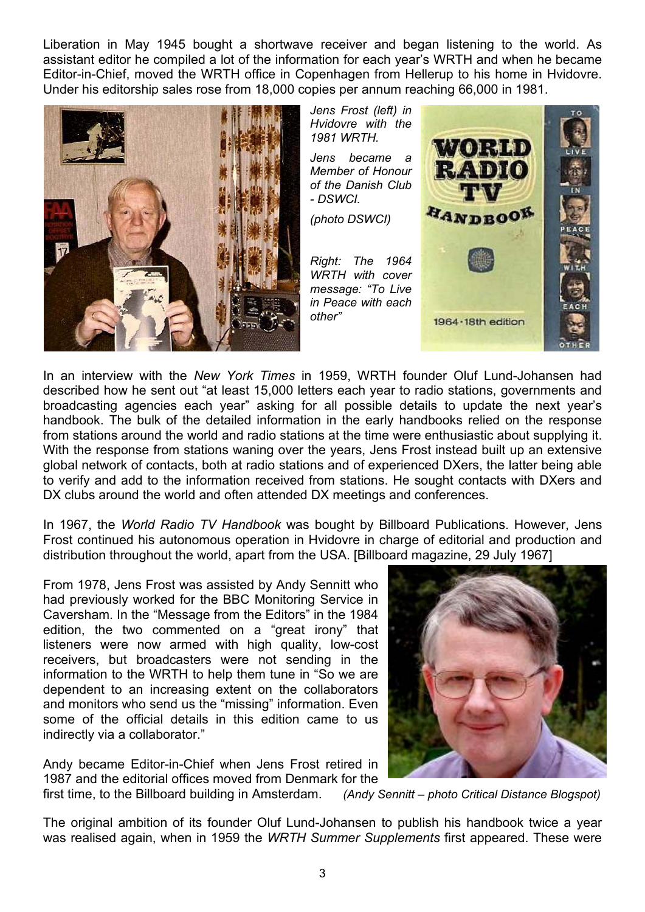Liberation in May 1945 bought a shortwave receiver and began listening to the world. As assistant editor he compiled a lot of the information for each year's WRTH and when he became Editor-in-Chief, moved the WRTH office in Copenhagen from Hellerup to his home in Hvidovre. Under his editorship sales rose from 18,000 copies per annum reaching 66,000 in 1981.





In an interview with the *New York Times* in 1959, WRTH founder Oluf Lund-Johansen had described how he sent out "at least 15,000 letters each year to radio stations, governments and broadcasting agencies each year" asking for all possible details to update the next year's handbook. The bulk of the detailed information in the early handbooks relied on the response from stations around the world and radio stations at the time were enthusiastic about supplying it. With the response from stations waning over the years, Jens Frost instead built up an extensive global network of contacts, both at radio stations and of experienced DXers, the latter being able to verify and add to the information received from stations. He sought contacts with DXers and DX clubs around the world and often attended DX meetings and conferences.

In 1967, the *World Radio TV Handbook* was bought by Billboard Publications. However, Jens Frost continued his autonomous operation in Hvidovre in charge of editorial and production and distribution throughout the world, apart from the USA. [Billboard magazine, 29 July 1967]

From 1978, Jens Frost was assisted by Andy Sennitt who had previously worked for the BBC Monitoring Service in Caversham. In the "Message from the Editors" in the 1984 edition, the two commented on a "great irony" that listeners were now armed with high quality, low-cost receivers, but broadcasters were not sending in the information to the WRTH to help them tune in "So we are dependent to an increasing extent on the collaborators and monitors who send us the "missing" information. Even some of the official details in this edition came to us indirectly via a collaborator."

Andy became Editor-in-Chief when Jens Frost retired in 1987 and the editorial offices moved from Denmark for the

first time, to the Billboard building in Amsterdam. *(Andy Sennitt – photo Critical Distance Blogspot)* 

The original ambition of its founder Oluf Lund-Johansen to publish his handbook twice a year was realised again, when in 1959 the *WRTH Summer Supplements* first appeared. These were